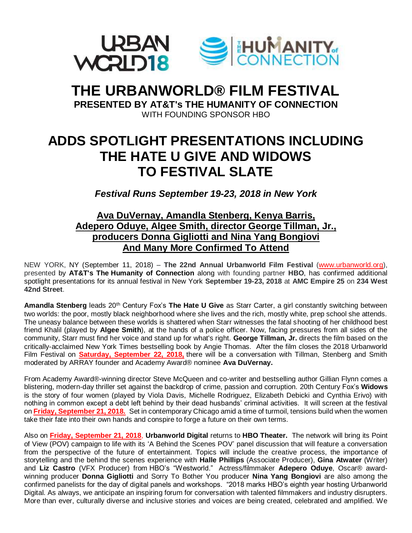

## **THE URBANWORLD® FILM FESTIVAL PRESENTED BY AT&T's THE HUMANITY OF CONNECTION**

WITH FOUNDING SPONSOR HBO

# **ADDS SPOTLIGHT PRESENTATIONS INCLUDING THE HATE U GIVE AND WIDOWS TO FESTIVAL SLATE**

*Festival Runs September 19-23, 2018 in New York*

## **Ava DuVernay, Amandla Stenberg, Kenya Barris, Adepero Oduye, Algee Smith, director George Tillman, Jr., producers Donna Gigliotti and Nina Yang Bongiovi And Many More Confirmed To Attend**

NEW YORK, NY (September 11, 2018) – **The 22nd Annual Urbanworld Film Festival** [\(www.urbanworld.org\)](http://www.urbanworld.org/), presented by **AT&T's The Humanity of Connection** along with founding partner **HBO**, has confirmed additional spotlight presentations for its annual festival in New York **September 19-23, 2018** at **AMC Empire 25** on **234 West 42nd Street**.

**Amandla Stenberg** leads 20th Century Fox's **The Hate U Give** as Starr Carter, a girl constantly switching between two worlds: the poor, mostly black neighborhood where she lives and the rich, mostly white, prep school she attends. The uneasy balance between these worlds is shattered when Starr witnesses the fatal shooting of her childhood best friend Khalil (played by **Algee Smith**), at the hands of a police officer. Now, facing pressures from all sides of the community, Starr must find her voice and stand up for what's right. **George Tillman, Jr.** directs the film based on the critically-acclaimed New York Times bestselling book by Angie Thomas. After the film closes the 2018 Urbanworld Film Festival on **Saturday, September 22, 2018,** there will be a conversation with Tillman, Stenberg and Smith moderated by ARRAY founder and Academy Award® nominee **Ava DuVernay.**

From Academy Award®-winning director Steve McQueen and co-writer and bestselling author Gillian Flynn comes a blistering, modern-day thriller set against the backdrop of crime, passion and corruption. 20th Century Fox's **Widows** is the story of four women (played by Viola Davis, Michelle Rodriguez, Elizabeth Debicki and Cynthia Erivo) with nothing in common except a debt left behind by their dead husbands' criminal activities. It will screen at the festival on **Friday, September 21, 2018.** Set in contemporary Chicago amid a time of turmoil, tensions build when the women take their fate into their own hands and conspire to forge a future on their own terms.

Also on **Friday, September 21, 2018**, **Urbanworld Digital** returns to **HBO Theater.** The network will bring its Point of View (POV) campaign to life with its 'A Behind the Scenes POV' panel discussion that will feature a conversation from the perspective of the future of entertainment. Topics will include the creative process, the importance of storytelling and the behind the scenes experience with **Halle Phillips** (Associate Producer), **Gina Atwater** (Writer) and **Liz Castro** (VFX Producer) from HBO's "Westworld." Actress/filmmaker **Adepero Oduye**, Oscar® awardwinning producer **Donna Gigliotti** and Sorry To Bother You producer **Nina Yang Bongiovi** are also among the confirmed panelists for the day of digital panels and workshops. "2018 marks HBO's eighth year hosting Urbanworld Digital. As always, we anticipate an inspiring forum for conversation with talented filmmakers and industry disrupters. More than ever, culturally diverse and inclusive stories and voices are being created, celebrated and amplified. We